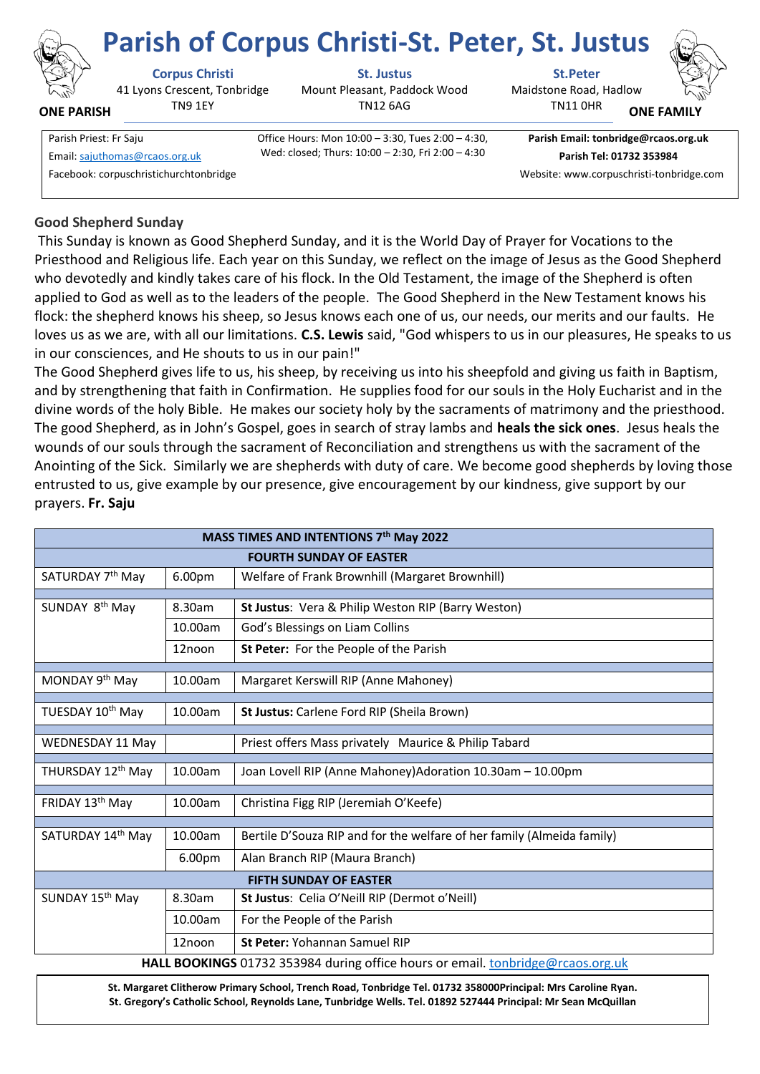

**ONE PARISH**

41 Lyons Crescent, Tonbridge TN9 1EY

**Corpus Christi St. Justus St.Peter**

Mount Pleasant, Paddock Wood TN12 6AG

**Parish of Corpus Christi-St. Peter, St. Justus**

Maidstone Road, Hadlow TN11 0HR **ONE FAMI** 



Parish Priest: Fr Saju Office Hours: Mon 10:00 – 3:30, Tues 2:00 – 4:30, Wed: closed; Thurs: 10:00 – 2:30, Fri 2:00 – 4:30 Email[: sajuthomas@rcaos.org.uk](about:blank) **Parish Tel: 01732 353984**

**Parish Email: tonbridge@rcaos.org.uk**

Facebook: corpuschristichurchtonbridge Website: www.corpuschristi-tonbridge.com

# **Good Shepherd Sunday**

This Sunday is known as Good Shepherd Sunday, and it is the World Day of Prayer for Vocations to the Priesthood and Religious life. Each year on this Sunday, we reflect on the image of Jesus as the Good Shepherd who devotedly and kindly takes care of his flock. In the Old Testament, the image of the Shepherd is often applied to God as well as to the leaders of the people. The Good Shepherd in the New Testament knows his flock: the shepherd knows his sheep, so Jesus knows each one of us, our needs, our merits and our faults. He loves us as we are, with all our limitations. **C.S. Lewis** said, "God whispers to us in our pleasures, He speaks to us in our consciences, and He shouts to us in our pain!"

The Good Shepherd gives life to us, his sheep, by receiving us into his sheepfold and giving us faith in Baptism, and by strengthening that faith in Confirmation. He supplies food for our souls in the Holy Eucharist and in the divine words of the holy Bible. He makes our society holy by the sacraments of matrimony and the priesthood. The good Shepherd, as in John's Gospel, goes in search of stray lambs and **heals the sick ones**. Jesus heals the wounds of our souls through the sacrament of Reconciliation and strengthens us with the sacrament of the Anointing of the Sick. Similarly we are shepherds with duty of care. We become good shepherds by loving those entrusted to us, give example by our presence, give encouragement by our kindness, give support by our prayers. **Fr. Saju**

| MASS TIMES AND INTENTIONS 7th May 2022                                          |         |                                                                        |
|---------------------------------------------------------------------------------|---------|------------------------------------------------------------------------|
| <b>FOURTH SUNDAY OF EASTER</b>                                                  |         |                                                                        |
| SATURDAY 7 <sup>th</sup> May                                                    | 6.00pm  | Welfare of Frank Brownhill (Margaret Brownhill)                        |
| SUNDAY 8 <sup>th</sup> May                                                      | 8.30am  | St Justus: Vera & Philip Weston RIP (Barry Weston)                     |
|                                                                                 | 10.00am | God's Blessings on Liam Collins                                        |
|                                                                                 | 12noon  | St Peter: For the People of the Parish                                 |
|                                                                                 |         |                                                                        |
| MONDAY 9 <sup>th</sup> May                                                      | 10.00am | Margaret Kerswill RIP (Anne Mahoney)                                   |
| TUESDAY 10th May                                                                | 10.00am | St Justus: Carlene Ford RIP (Sheila Brown)                             |
| WEDNESDAY 11 May                                                                |         | Priest offers Mass privately Maurice & Philip Tabard                   |
| THURSDAY 12 <sup>th</sup> May                                                   | 10.00am | Joan Lovell RIP (Anne Mahoney)Adoration 10.30am - 10.00pm              |
| FRIDAY 13 <sup>th</sup> May                                                     | 10.00am | Christina Figg RIP (Jeremiah O'Keefe)                                  |
|                                                                                 |         |                                                                        |
| SATURDAY 14 <sup>th</sup> May                                                   | 10.00am | Bertile D'Souza RIP and for the welfare of her family (Almeida family) |
|                                                                                 | 6.00pm  | Alan Branch RIP (Maura Branch)                                         |
| <b>FIFTH SUNDAY OF EASTER</b>                                                   |         |                                                                        |
| SUNDAY 15 <sup>th</sup> May                                                     | 8.30am  | St Justus: Celia O'Neill RIP (Dermot o'Neill)                          |
|                                                                                 | 10.00am | For the People of the Parish                                           |
|                                                                                 | 12noon  | St Peter: Yohannan Samuel RIP                                          |
| HALL BOOKINGS 01732 353984 during office hours or email. tonbridge@rcaos.org.uk |         |                                                                        |

**St. Margaret Clitherow Primary School, Trench Road, Tonbridge Tel. 01732 358000Principal: Mrs Caroline Ryan. St. Gregory's Catholic School, Reynolds Lane, Tunbridge Wells. Tel. 01892 527444 Principal: Mr Sean McQuillan**